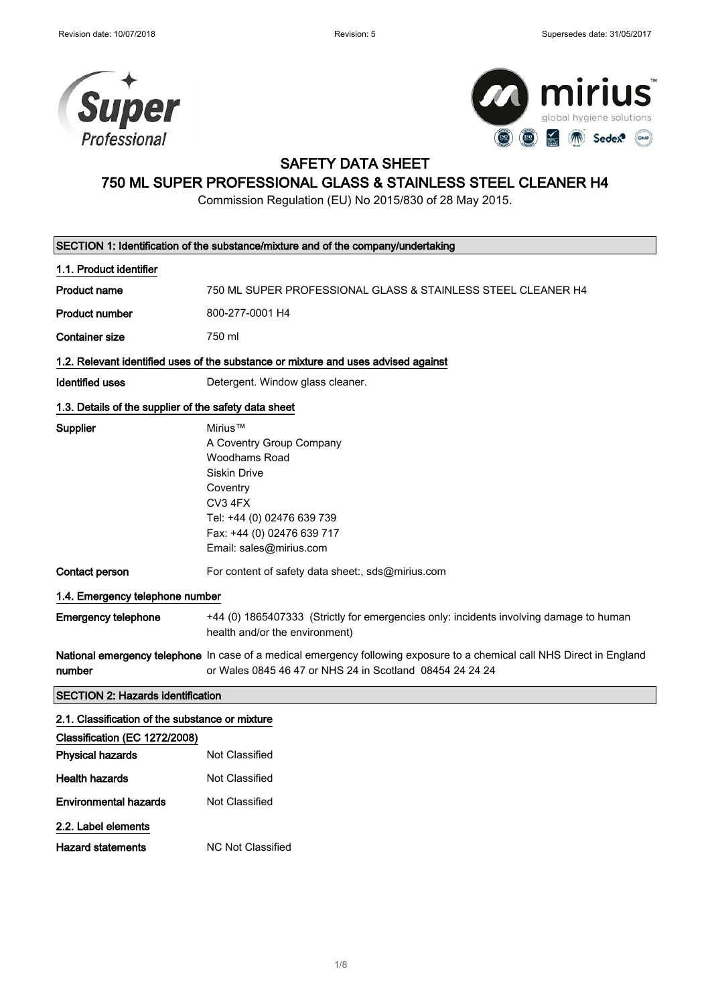



### SAFETY DATA SHEET

# 750 ML SUPER PROFESSIONAL GLASS & STAINLESS STEEL CLEANER H4

Commission Regulation (EU) No 2015/830 of 28 May 2015.

| SECTION 1: Identification of the substance/mixture and of the company/undertaking |                                                                                                                                                                                           |  |
|-----------------------------------------------------------------------------------|-------------------------------------------------------------------------------------------------------------------------------------------------------------------------------------------|--|
| 1.1. Product identifier                                                           |                                                                                                                                                                                           |  |
| <b>Product name</b>                                                               | 750 ML SUPER PROFESSIONAL GLASS & STAINLESS STEEL CLEANER H4                                                                                                                              |  |
| <b>Product number</b>                                                             | 800-277-0001 H4                                                                                                                                                                           |  |
| <b>Container size</b>                                                             | 750 ml                                                                                                                                                                                    |  |
|                                                                                   | 1.2. Relevant identified uses of the substance or mixture and uses advised against                                                                                                        |  |
| <b>Identified uses</b>                                                            | Detergent. Window glass cleaner.                                                                                                                                                          |  |
| 1.3. Details of the supplier of the safety data sheet                             |                                                                                                                                                                                           |  |
| Supplier                                                                          | Mirius™<br>A Coventry Group Company<br>Woodhams Road<br><b>Siskin Drive</b><br>Coventry<br>CV3 4FX<br>Tel: +44 (0) 02476 639 739<br>Fax: +44 (0) 02476 639 717<br>Email: sales@mirius.com |  |
| Contact person                                                                    | For content of safety data sheet:, sds@mirius.com                                                                                                                                         |  |
| 1.4. Emergency telephone number                                                   |                                                                                                                                                                                           |  |
| Emergency telephone                                                               | +44 (0) 1865407333 (Strictly for emergencies only: incidents involving damage to human<br>health and/or the environment)                                                                  |  |
| number                                                                            | National emergency telephone In case of a medical emergency following exposure to a chemical call NHS Direct in England<br>or Wales 0845 46 47 or NHS 24 in Scotland 08454 24 24 24       |  |
| <b>SECTION 2: Hazards identification</b>                                          |                                                                                                                                                                                           |  |
| 2.1. Classification of the substance or mixture                                   |                                                                                                                                                                                           |  |
| Classification (EC 1272/2008)                                                     |                                                                                                                                                                                           |  |
| <b>Physical hazards</b>                                                           | <b>Not Classified</b>                                                                                                                                                                     |  |
| <b>Health hazards</b>                                                             | <b>Not Classified</b>                                                                                                                                                                     |  |
| <b>Environmental hazards</b>                                                      | Not Classified                                                                                                                                                                            |  |
| 2.2. Label elements                                                               |                                                                                                                                                                                           |  |
| <b>Hazard statements</b>                                                          | NC Not Classified                                                                                                                                                                         |  |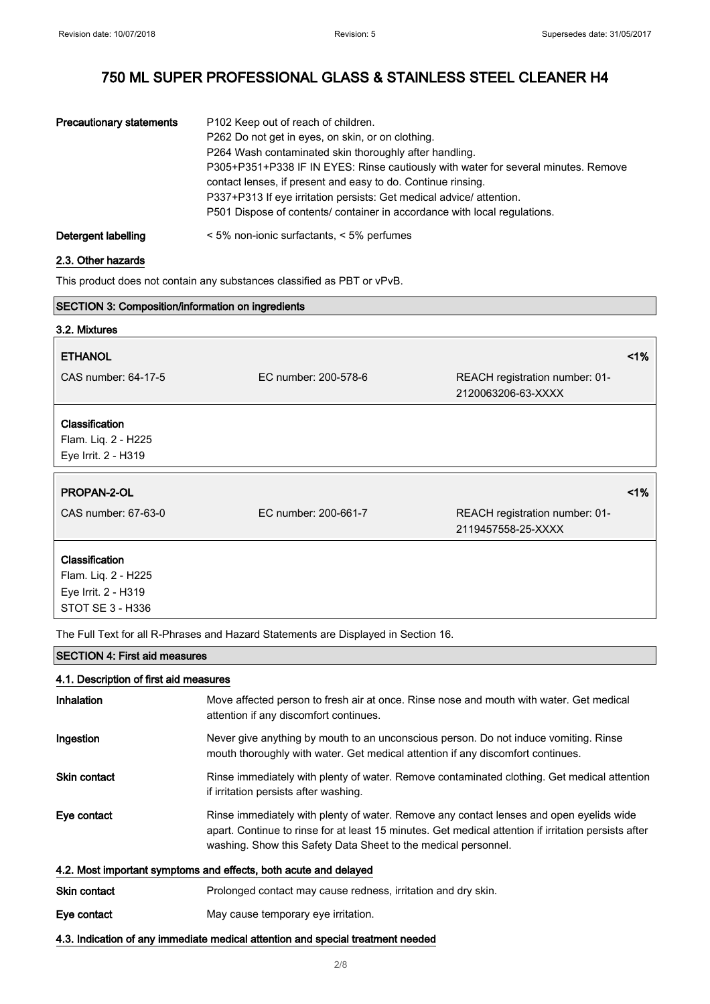| <b>Precautionary statements</b> | P102 Keep out of reach of children.                                                |
|---------------------------------|------------------------------------------------------------------------------------|
|                                 | P262 Do not get in eyes, on skin, or on clothing.                                  |
|                                 | P264 Wash contaminated skin thoroughly after handling.                             |
|                                 | P305+P351+P338 IF IN EYES: Rinse cautiously with water for several minutes. Remove |
|                                 | contact lenses, if present and easy to do. Continue rinsing.                       |
|                                 | P337+P313 If eye irritation persists: Get medical advice/ attention.               |
|                                 | P501 Dispose of contents/ container in accordance with local regulations.          |
| Detergent labelling             | < 5% non-ionic surfactants, < 5% perfumes                                          |

#### 2.3. Other hazards

This product does not contain any substances classified as PBT or vPvB.

| <b>SECTION 3: Composition/information on ingredients</b>            |                      |                                                      |    |
|---------------------------------------------------------------------|----------------------|------------------------------------------------------|----|
| 3.2. Mixtures                                                       |                      |                                                      |    |
| <b>ETHANOL</b>                                                      |                      |                                                      | 1% |
| CAS number: 64-17-5                                                 | EC number: 200-578-6 | REACH registration number: 01-<br>2120063206-63-XXXX |    |
| <b>Classification</b><br>Flam. Liq. 2 - H225<br>Eye Irrit. 2 - H319 |                      |                                                      |    |
| PROPAN-2-OL                                                         |                      |                                                      | 1% |
| CAS number: 67-63-0                                                 | EC number: 200-661-7 | REACH registration number: 01-<br>2119457558-25-XXXX |    |
| Classification                                                      |                      |                                                      |    |
| Flam. Liq. 2 - H225                                                 |                      |                                                      |    |
| Eye Irrit. 2 - H319                                                 |                      |                                                      |    |
| STOT SE 3 - H336                                                    |                      |                                                      |    |

The Full Text for all R-Phrases and Hazard Statements are Displayed in Section 16.

#### SECTION 4: First aid measures

### 4.1. Description of first aid measures

| <b>Inhalation</b>                                                               | Move affected person to fresh air at once. Rinse nose and mouth with water. Get medical<br>attention if any discomfort continues.                                                                                                                                 |  |
|---------------------------------------------------------------------------------|-------------------------------------------------------------------------------------------------------------------------------------------------------------------------------------------------------------------------------------------------------------------|--|
| Ingestion                                                                       | Never give anything by mouth to an unconscious person. Do not induce vomiting. Rinse<br>mouth thoroughly with water. Get medical attention if any discomfort continues.                                                                                           |  |
| <b>Skin contact</b>                                                             | Rinse immediately with plenty of water. Remove contaminated clothing. Get medical attention<br>if irritation persists after washing.                                                                                                                              |  |
| Eye contact                                                                     | Rinse immediately with plenty of water. Remove any contact lenses and open eyelids wide<br>apart. Continue to rinse for at least 15 minutes. Get medical attention if irritation persists after<br>washing. Show this Safety Data Sheet to the medical personnel. |  |
| 4.2. Most important symptoms and effects, both acute and delayed                |                                                                                                                                                                                                                                                                   |  |
| <b>Skin contact</b>                                                             | Prolonged contact may cause redness, irritation and dry skin.                                                                                                                                                                                                     |  |
| Eye contact                                                                     | May cause temporary eye irritation.                                                                                                                                                                                                                               |  |
| 4.3. Indication of any immediate medical attention and special treatment needed |                                                                                                                                                                                                                                                                   |  |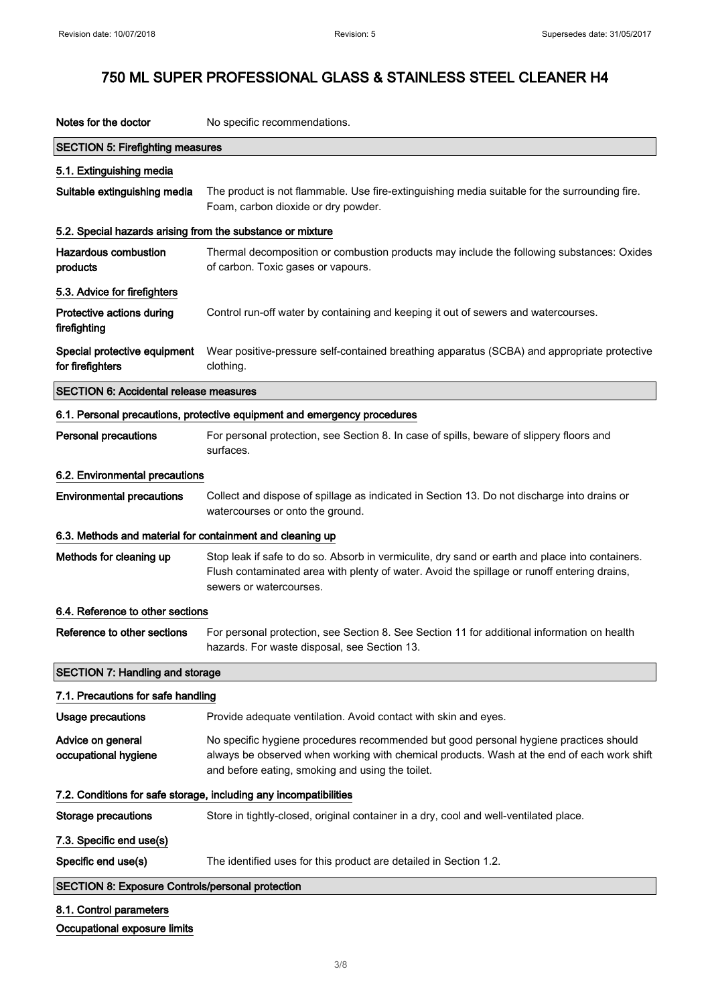| Notes for the doctor                                       | No specific recommendations.                                                                                                                                                                                                            |
|------------------------------------------------------------|-----------------------------------------------------------------------------------------------------------------------------------------------------------------------------------------------------------------------------------------|
| <b>SECTION 5: Firefighting measures</b>                    |                                                                                                                                                                                                                                         |
| 5.1. Extinguishing media                                   |                                                                                                                                                                                                                                         |
| Suitable extinguishing media                               | The product is not flammable. Use fire-extinguishing media suitable for the surrounding fire.<br>Foam, carbon dioxide or dry powder.                                                                                                    |
| 5.2. Special hazards arising from the substance or mixture |                                                                                                                                                                                                                                         |
| <b>Hazardous combustion</b><br>products                    | Thermal decomposition or combustion products may include the following substances: Oxides<br>of carbon. Toxic gases or vapours.                                                                                                         |
| 5.3. Advice for firefighters                               |                                                                                                                                                                                                                                         |
| Protective actions during<br>firefighting                  | Control run-off water by containing and keeping it out of sewers and watercourses.                                                                                                                                                      |
| Special protective equipment<br>for firefighters           | Wear positive-pressure self-contained breathing apparatus (SCBA) and appropriate protective<br>clothing.                                                                                                                                |
| <b>SECTION 6: Accidental release measures</b>              |                                                                                                                                                                                                                                         |
|                                                            | 6.1. Personal precautions, protective equipment and emergency procedures                                                                                                                                                                |
| <b>Personal precautions</b>                                | For personal protection, see Section 8. In case of spills, beware of slippery floors and<br>surfaces.                                                                                                                                   |
| 6.2. Environmental precautions                             |                                                                                                                                                                                                                                         |
| <b>Environmental precautions</b>                           | Collect and dispose of spillage as indicated in Section 13. Do not discharge into drains or<br>watercourses or onto the ground.                                                                                                         |
| 6.3. Methods and material for containment and cleaning up  |                                                                                                                                                                                                                                         |
| Methods for cleaning up                                    | Stop leak if safe to do so. Absorb in vermiculite, dry sand or earth and place into containers.<br>Flush contaminated area with plenty of water. Avoid the spillage or runoff entering drains,<br>sewers or watercourses.               |
| 6.4. Reference to other sections                           |                                                                                                                                                                                                                                         |
| Reference to other sections                                | For personal protection, see Section 8. See Section 11 for additional information on health<br>hazards. For waste disposal, see Section 13.                                                                                             |
| <b>SECTION 7: Handling and storage</b>                     |                                                                                                                                                                                                                                         |
| 7.1. Precautions for safe handling                         |                                                                                                                                                                                                                                         |
| <b>Usage precautions</b>                                   | Provide adequate ventilation. Avoid contact with skin and eyes.                                                                                                                                                                         |
| Advice on general<br>occupational hygiene                  | No specific hygiene procedures recommended but good personal hygiene practices should<br>always be observed when working with chemical products. Wash at the end of each work shift<br>and before eating, smoking and using the toilet. |
|                                                            | 7.2. Conditions for safe storage, including any incompatibilities                                                                                                                                                                       |
| <b>Storage precautions</b>                                 | Store in tightly-closed, original container in a dry, cool and well-ventilated place.                                                                                                                                                   |
| 7.3. Specific end use(s)                                   |                                                                                                                                                                                                                                         |
| Specific end use(s)                                        | The identified uses for this product are detailed in Section 1.2.                                                                                                                                                                       |
| <b>SECTION 8: Exposure Controls/personal protection</b>    |                                                                                                                                                                                                                                         |
|                                                            |                                                                                                                                                                                                                                         |
| 8.1. Control parameters                                    |                                                                                                                                                                                                                                         |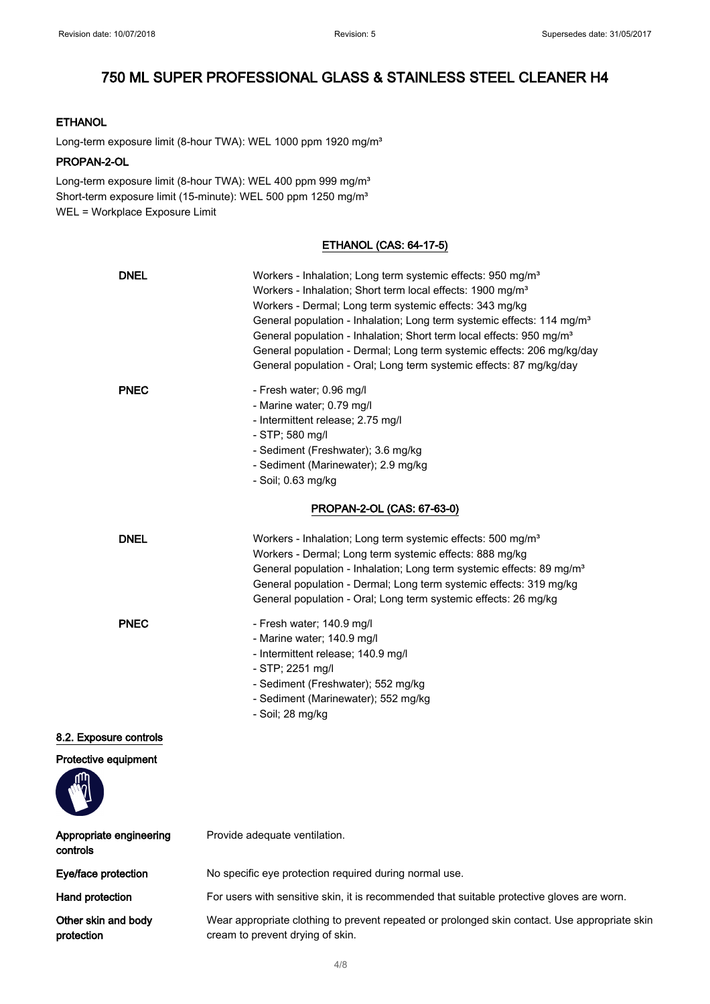### **ETHANOL**

Long-term exposure limit (8-hour TWA): WEL 1000 ppm 1920 mg/m<sup>3</sup>

#### PROPAN-2-OL

Long-term exposure limit (8-hour TWA): WEL 400 ppm 999 mg/m<sup>3</sup> Short-term exposure limit (15-minute): WEL 500 ppm 1250 mg/m<sup>3</sup> WEL = Workplace Exposure Limit

### ETHANOL (CAS: 64-17-5)

| <b>DNEL</b>                         | Workers - Inhalation; Long term systemic effects: 950 mg/m <sup>3</sup><br>Workers - Inhalation; Short term local effects: 1900 mg/m <sup>3</sup><br>Workers - Dermal; Long term systemic effects: 343 mg/kg<br>General population - Inhalation; Long term systemic effects: 114 mg/m <sup>3</sup><br>General population - Inhalation; Short term local effects: 950 mg/m <sup>3</sup><br>General population - Dermal; Long term systemic effects: 206 mg/kg/day<br>General population - Oral; Long term systemic effects: 87 mg/kg/day |
|-------------------------------------|-----------------------------------------------------------------------------------------------------------------------------------------------------------------------------------------------------------------------------------------------------------------------------------------------------------------------------------------------------------------------------------------------------------------------------------------------------------------------------------------------------------------------------------------|
| <b>PNEC</b>                         | - Fresh water; 0.96 mg/l<br>- Marine water; 0.79 mg/l<br>- Intermittent release; 2.75 mg/l<br>- STP; 580 mg/l<br>- Sediment (Freshwater); 3.6 mg/kg<br>- Sediment (Marinewater); 2.9 mg/kg<br>- Soil; 0.63 mg/kg                                                                                                                                                                                                                                                                                                                        |
|                                     | PROPAN-2-OL (CAS: 67-63-0)                                                                                                                                                                                                                                                                                                                                                                                                                                                                                                              |
| <b>DNEL</b>                         | Workers - Inhalation; Long term systemic effects: 500 mg/m <sup>3</sup><br>Workers - Dermal; Long term systemic effects: 888 mg/kg<br>General population - Inhalation; Long term systemic effects: 89 mg/m <sup>3</sup><br>General population - Dermal; Long term systemic effects: 319 mg/kg<br>General population - Oral; Long term systemic effects: 26 mg/kg                                                                                                                                                                        |
| <b>PNEC</b>                         | - Fresh water; 140.9 mg/l<br>- Marine water; 140.9 mg/l<br>- Intermittent release; 140.9 mg/l<br>- STP; 2251 mg/l<br>- Sediment (Freshwater); 552 mg/kg<br>- Sediment (Marinewater); 552 mg/kg<br>- Soil; 28 mg/kg                                                                                                                                                                                                                                                                                                                      |
| 8.2. Exposure controls              |                                                                                                                                                                                                                                                                                                                                                                                                                                                                                                                                         |
| Protective equipment                |                                                                                                                                                                                                                                                                                                                                                                                                                                                                                                                                         |
| Appropriate engineering<br>controls | Provide adequate ventilation.                                                                                                                                                                                                                                                                                                                                                                                                                                                                                                           |
| Eye/face protection                 | No specific eye protection required during normal use.                                                                                                                                                                                                                                                                                                                                                                                                                                                                                  |
| Hand protection                     | For users with sensitive skin, it is recommended that suitable protective gloves are worn.                                                                                                                                                                                                                                                                                                                                                                                                                                              |
| Other skin and body<br>protection   | Wear appropriate clothing to prevent repeated or prolonged skin contact. Use appropriate skin<br>cream to prevent drying of skin.                                                                                                                                                                                                                                                                                                                                                                                                       |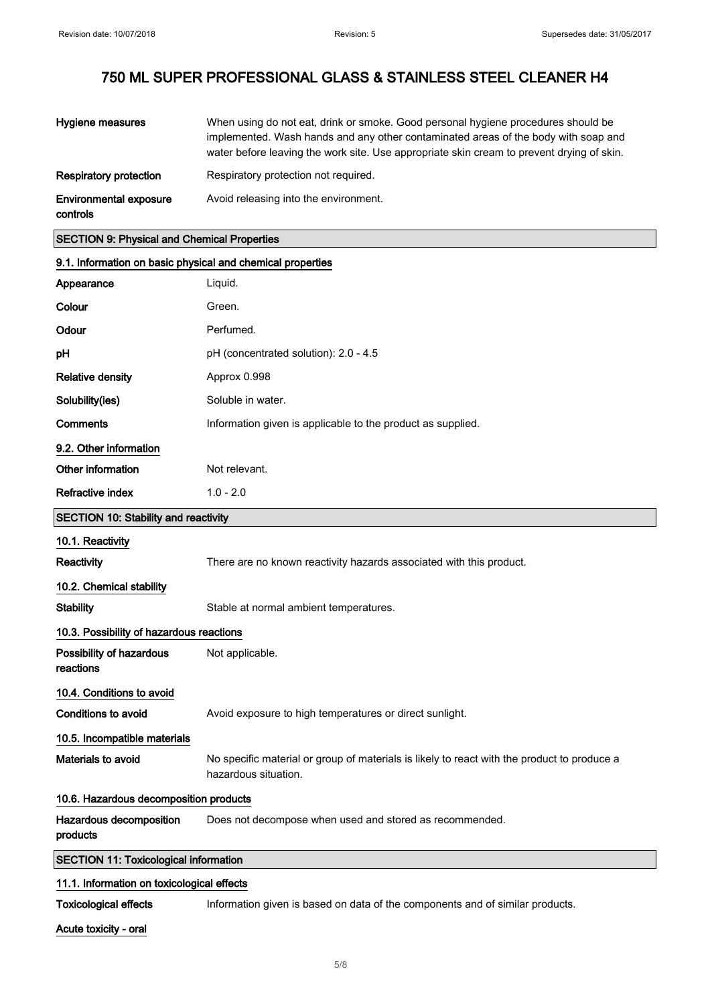| Hygiene measures                          | When using do not eat, drink or smoke. Good personal hygiene procedures should be<br>implemented. Wash hands and any other contaminated areas of the body with soap and<br>water before leaving the work site. Use appropriate skin cream to prevent drying of skin. |
|-------------------------------------------|----------------------------------------------------------------------------------------------------------------------------------------------------------------------------------------------------------------------------------------------------------------------|
| <b>Respiratory protection</b>             | Respiratory protection not required.                                                                                                                                                                                                                                 |
| <b>Environmental exposure</b><br>controls | Avoid releasing into the environment.                                                                                                                                                                                                                                |

### SECTION 9: Physical and Chemical Properties

| 9.1. Information on basic physical and chemical properties |                                                                                                                     |  |
|------------------------------------------------------------|---------------------------------------------------------------------------------------------------------------------|--|
| Appearance                                                 | Liquid.                                                                                                             |  |
| Colour                                                     | Green.                                                                                                              |  |
| Odour                                                      | Perfumed.                                                                                                           |  |
| pH                                                         | pH (concentrated solution): 2.0 - 4.5                                                                               |  |
| <b>Relative density</b>                                    | Approx 0.998                                                                                                        |  |
| Solubility(ies)                                            | Soluble in water.                                                                                                   |  |
| Comments                                                   | Information given is applicable to the product as supplied.                                                         |  |
| 9.2. Other information                                     |                                                                                                                     |  |
| Other information                                          | Not relevant.                                                                                                       |  |
| <b>Refractive index</b>                                    | $1.0 - 2.0$                                                                                                         |  |
| <b>SECTION 10: Stability and reactivity</b>                |                                                                                                                     |  |
| 10.1. Reactivity                                           |                                                                                                                     |  |
| Reactivity                                                 | There are no known reactivity hazards associated with this product.                                                 |  |
| 10.2. Chemical stability                                   |                                                                                                                     |  |
| <b>Stability</b>                                           | Stable at normal ambient temperatures.                                                                              |  |
| 10.3. Possibility of hazardous reactions                   |                                                                                                                     |  |
| Possibility of hazardous<br>reactions                      | Not applicable.                                                                                                     |  |
| 10.4. Conditions to avoid                                  |                                                                                                                     |  |
| <b>Conditions to avoid</b>                                 | Avoid exposure to high temperatures or direct sunlight.                                                             |  |
| 10.5. Incompatible materials                               |                                                                                                                     |  |
| <b>Materials to avoid</b>                                  | No specific material or group of materials is likely to react with the product to produce a<br>hazardous situation. |  |
| 10.6. Hazardous decomposition products                     |                                                                                                                     |  |
| Hazardous decomposition<br>products                        | Does not decompose when used and stored as recommended.                                                             |  |
| <b>SECTION 11: Toxicological information</b>               |                                                                                                                     |  |
| 11.1. Information on toxicological effects                 |                                                                                                                     |  |
| <b>Toxicological effects</b>                               | Information given is based on data of the components and of similar products.                                       |  |

Acute toxicity - oral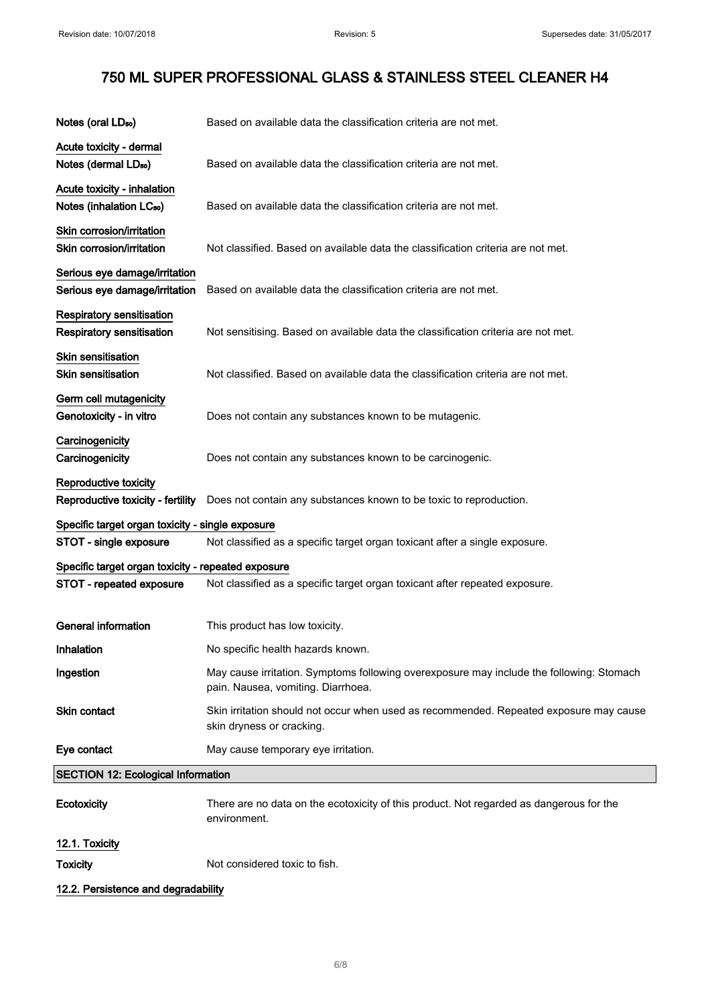| Notes (oral LD <sub>50</sub> )                                       | Based on available data the classification criteria are not met.                                                               |
|----------------------------------------------------------------------|--------------------------------------------------------------------------------------------------------------------------------|
| Acute toxicity - dermal<br>Notes (dermal LD <sub>50</sub> )          | Based on available data the classification criteria are not met.                                                               |
| Acute toxicity - inhalation<br>Notes (inhalation LC <sub>50</sub> )  | Based on available data the classification criteria are not met.                                                               |
| Skin corrosion/irritation<br>Skin corrosion/irritation               | Not classified. Based on available data the classification criteria are not met.                                               |
| Serious eye damage/irritation<br>Serious eye damage/irritation       | Based on available data the classification criteria are not met.                                                               |
| <b>Respiratory sensitisation</b><br><b>Respiratory sensitisation</b> | Not sensitising. Based on available data the classification criteria are not met.                                              |
| Skin sensitisation<br><b>Skin sensitisation</b>                      | Not classified. Based on available data the classification criteria are not met.                                               |
| Germ cell mutagenicity<br>Genotoxicity - in vitro                    | Does not contain any substances known to be mutagenic.                                                                         |
| Carcinogenicity<br>Carcinogenicity                                   | Does not contain any substances known to be carcinogenic.                                                                      |
| Reproductive toxicity<br>Reproductive toxicity - fertility           | Does not contain any substances known to be toxic to reproduction.                                                             |
| Specific target organ toxicity - single exposure                     |                                                                                                                                |
| STOT - single exposure                                               | Not classified as a specific target organ toxicant after a single exposure.                                                    |
| Specific target organ toxicity - repeated exposure                   |                                                                                                                                |
| STOT - repeated exposure                                             | Not classified as a specific target organ toxicant after repeated exposure.                                                    |
| <b>General information</b>                                           | This product has low toxicity.                                                                                                 |
| Inhalation                                                           | No specific health hazards known.                                                                                              |
| Ingestion                                                            | May cause irritation. Symptoms following overexposure may include the following: Stomach<br>pain. Nausea, vomiting. Diarrhoea. |
| <b>Skin contact</b>                                                  | Skin irritation should not occur when used as recommended. Repeated exposure may cause<br>skin dryness or cracking.            |
| Eye contact                                                          | May cause temporary eye irritation.                                                                                            |
| <b>SECTION 12: Ecological Information</b>                            |                                                                                                                                |
| Ecotoxicity                                                          | There are no data on the ecotoxicity of this product. Not regarded as dangerous for the<br>environment.                        |
| 12.1. Toxicity                                                       |                                                                                                                                |
| <b>Toxicity</b>                                                      | Not considered toxic to fish.                                                                                                  |

12.2. Persistence and degradability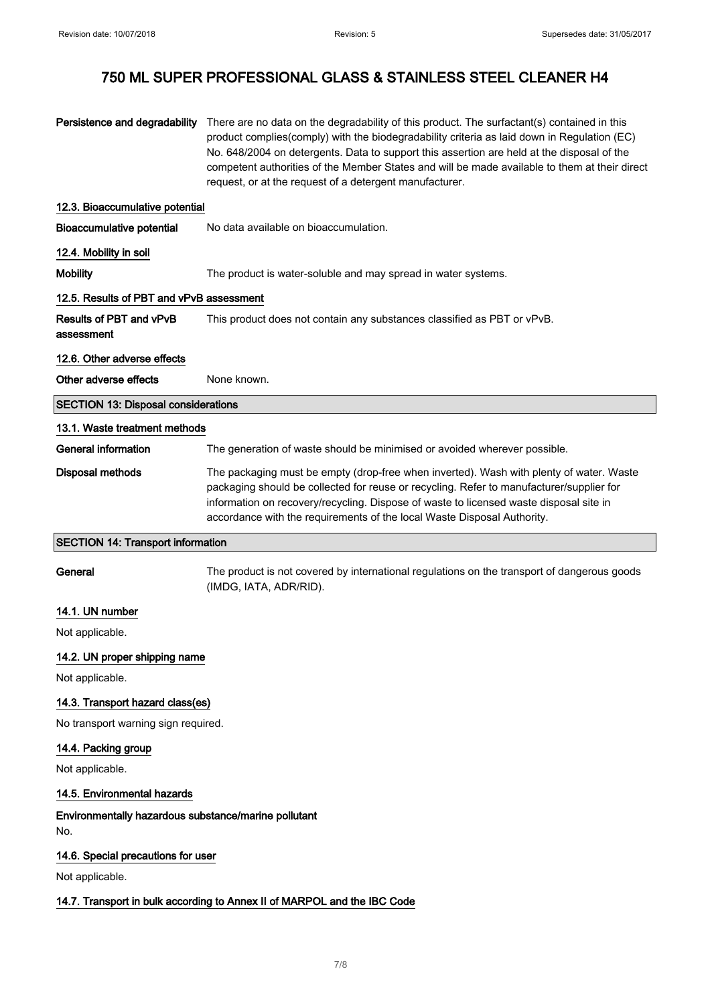| Persistence and degradability                               | There are no data on the degradability of this product. The surfactant(s) contained in this<br>product complies(comply) with the biodegradability criteria as laid down in Regulation (EC)<br>No. 648/2004 on detergents. Data to support this assertion are held at the disposal of the<br>competent authorities of the Member States and will be made available to them at their direct<br>request, or at the request of a detergent manufacturer. |  |
|-------------------------------------------------------------|------------------------------------------------------------------------------------------------------------------------------------------------------------------------------------------------------------------------------------------------------------------------------------------------------------------------------------------------------------------------------------------------------------------------------------------------------|--|
| 12.3. Bioaccumulative potential                             |                                                                                                                                                                                                                                                                                                                                                                                                                                                      |  |
| <b>Bioaccumulative potential</b>                            | No data available on bioaccumulation.                                                                                                                                                                                                                                                                                                                                                                                                                |  |
| 12.4. Mobility in soil                                      |                                                                                                                                                                                                                                                                                                                                                                                                                                                      |  |
| <b>Mobility</b>                                             | The product is water-soluble and may spread in water systems.                                                                                                                                                                                                                                                                                                                                                                                        |  |
| 12.5. Results of PBT and vPvB assessment                    |                                                                                                                                                                                                                                                                                                                                                                                                                                                      |  |
| Results of PBT and vPvB<br>assessment                       | This product does not contain any substances classified as PBT or vPvB.                                                                                                                                                                                                                                                                                                                                                                              |  |
| 12.6. Other adverse effects                                 |                                                                                                                                                                                                                                                                                                                                                                                                                                                      |  |
| Other adverse effects                                       | None known.                                                                                                                                                                                                                                                                                                                                                                                                                                          |  |
| <b>SECTION 13: Disposal considerations</b>                  |                                                                                                                                                                                                                                                                                                                                                                                                                                                      |  |
| 13.1. Waste treatment methods                               |                                                                                                                                                                                                                                                                                                                                                                                                                                                      |  |
| <b>General information</b>                                  | The generation of waste should be minimised or avoided wherever possible.                                                                                                                                                                                                                                                                                                                                                                            |  |
| <b>Disposal methods</b>                                     | The packaging must be empty (drop-free when inverted). Wash with plenty of water. Waste<br>packaging should be collected for reuse or recycling. Refer to manufacturer/supplier for<br>information on recovery/recycling. Dispose of waste to licensed waste disposal site in<br>accordance with the requirements of the local Waste Disposal Authority.                                                                                             |  |
| <b>SECTION 14: Transport information</b>                    |                                                                                                                                                                                                                                                                                                                                                                                                                                                      |  |
| General                                                     | The product is not covered by international regulations on the transport of dangerous goods<br>(IMDG, IATA, ADR/RID).                                                                                                                                                                                                                                                                                                                                |  |
| 14.1. UN number                                             |                                                                                                                                                                                                                                                                                                                                                                                                                                                      |  |
| Not applicable.                                             |                                                                                                                                                                                                                                                                                                                                                                                                                                                      |  |
| 14.2. UN proper shipping name                               |                                                                                                                                                                                                                                                                                                                                                                                                                                                      |  |
| Not applicable.                                             |                                                                                                                                                                                                                                                                                                                                                                                                                                                      |  |
| 14.3. Transport hazard class(es)                            |                                                                                                                                                                                                                                                                                                                                                                                                                                                      |  |
| No transport warning sign required.                         |                                                                                                                                                                                                                                                                                                                                                                                                                                                      |  |
| 14.4. Packing group                                         |                                                                                                                                                                                                                                                                                                                                                                                                                                                      |  |
| Not applicable.                                             |                                                                                                                                                                                                                                                                                                                                                                                                                                                      |  |
| 14.5. Environmental hazards                                 |                                                                                                                                                                                                                                                                                                                                                                                                                                                      |  |
| Environmentally hazardous substance/marine pollutant<br>No. |                                                                                                                                                                                                                                                                                                                                                                                                                                                      |  |
| 14.6. Special precautions for user                          |                                                                                                                                                                                                                                                                                                                                                                                                                                                      |  |
| Not applicable.                                             |                                                                                                                                                                                                                                                                                                                                                                                                                                                      |  |
|                                                             | 14.7. Transport in bulk according to Annex II of MARPOL and the IBC Code                                                                                                                                                                                                                                                                                                                                                                             |  |